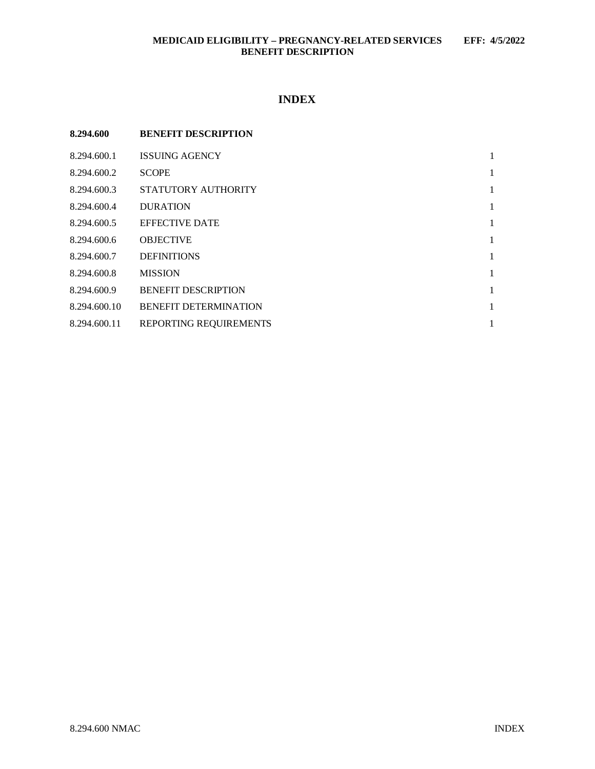# **MEDICAID ELIGIBILITY – PREGNANCY-RELATED SERVICES EFF: 4/5/2022 BENEFIT DESCRIPTION**

# **INDEX**

| 8.294.600    | <b>BENEFIT DESCRIPTION</b>   |   |
|--------------|------------------------------|---|
| 8.294.600.1  | <b>ISSUING AGENCY</b>        | 1 |
| 8.294.600.2  | <b>SCOPE</b>                 | 1 |
| 8.294.600.3  | STATUTORY AUTHORITY          | 1 |
| 8.294.600.4  | <b>DURATION</b>              | 1 |
| 8.294.600.5  | <b>EFFECTIVE DATE</b>        | 1 |
| 8.294.600.6  | <b>OBJECTIVE</b>             | 1 |
| 8.294.600.7  | <b>DEFINITIONS</b>           | 1 |
| 8.294.600.8  | <b>MISSION</b>               | 1 |
| 8.294.600.9  | <b>BENEFIT DESCRIPTION</b>   | 1 |
| 8.294.600.10 | <b>BENEFIT DETERMINATION</b> | 1 |
| 8.294.600.11 | REPORTING REQUIREMENTS       |   |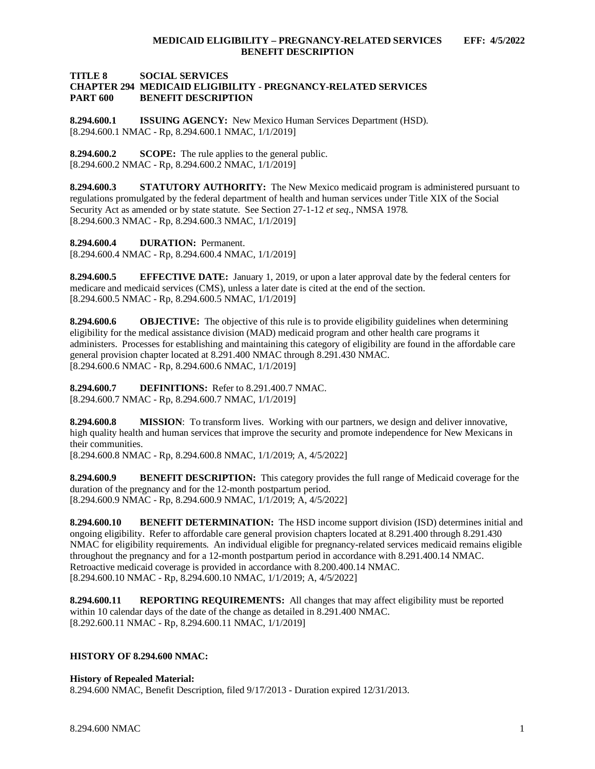### **TITLE 8 SOCIAL SERVICES CHAPTER 294 MEDICAID ELIGIBILITY - PREGNANCY-RELATED SERVICES BENEFIT DESCRIPTION**

<span id="page-1-0"></span>**8.294.600.1 ISSUING AGENCY:** New Mexico Human Services Department (HSD). [8.294.600.1 NMAC - Rp, 8.294.600.1 NMAC, 1/1/2019]

<span id="page-1-1"></span>**8.294.600.2 SCOPE:** The rule applies to the general public. [8.294.600.2 NMAC - Rp, 8.294.600.2 NMAC, 1/1/2019]

<span id="page-1-2"></span>**8.294.600.3 STATUTORY AUTHORITY:** The New Mexico medicaid program is administered pursuant to regulations promulgated by the federal department of health and human services under Title XIX of the Social Security Act as amended or by state statute. See Section 27-1-12 *et seq*., NMSA 1978. [8.294.600.3 NMAC - Rp, 8.294.600.3 NMAC, 1/1/2019]

<span id="page-1-3"></span>**8.294.600.4 DURATION:** Permanent.

[8.294.600.4 NMAC - Rp, 8.294.600.4 NMAC, 1/1/2019]

<span id="page-1-4"></span>**8.294.600.5 EFFECTIVE DATE:** January 1, 2019, or upon a later approval date by the federal centers for medicare and medicaid services (CMS), unless a later date is cited at the end of the section. [8.294.600.5 NMAC - Rp, 8.294.600.5 NMAC, 1/1/2019]

<span id="page-1-5"></span>**8.294.600.6 OBJECTIVE:** The objective of this rule is to provide eligibility guidelines when determining eligibility for the medical assistance division (MAD) medicaid program and other health care programs it administers. Processes for establishing and maintaining this category of eligibility are found in the affordable care general provision chapter located at 8.291.400 NMAC through 8.291.430 NMAC. [8.294.600.6 NMAC - Rp, 8.294.600.6 NMAC, 1/1/2019]

<span id="page-1-6"></span>**8.294.600.7 DEFINITIONS:** Refer to 8.291.400.7 NMAC. [8.294.600.7 NMAC - Rp, 8.294.600.7 NMAC, 1/1/2019]

<span id="page-1-7"></span>**8.294.600.8 MISSION**: To transform lives. Working with our partners, we design and deliver innovative, high quality health and human services that improve the security and promote independence for New Mexicans in their communities.

[8.294.600.8 NMAC - Rp, 8.294.600.8 NMAC, 1/1/2019; A, 4/5/2022]

<span id="page-1-8"></span>**8.294.600.9 BENEFIT DESCRIPTION:** This category provides the full range of Medicaid coverage for the duration of the pregnancy and for the 12-month postpartum period. [8.294.600.9 NMAC - Rp, 8.294.600.9 NMAC, 1/1/2019; A, 4/5/2022]

<span id="page-1-9"></span>**8.294.600.10 BENEFIT DETERMINATION:** The HSD income support division (ISD) determines initial and ongoing eligibility. Refer to affordable care general provision chapters located at 8.291.400 through 8.291.430 NMAC for eligibility requirements. An individual eligible for pregnancy-related services medicaid remains eligible throughout the pregnancy and for a 12-month postpartum period in accordance with 8.291.400.14 NMAC. Retroactive medicaid coverage is provided in accordance with 8.200.400.14 NMAC. [8.294.600.10 NMAC - Rp, 8.294.600.10 NMAC, 1/1/2019; A, 4/5/2022]

<span id="page-1-10"></span>**8.294.600.11 REPORTING REQUIREMENTS:** All changes that may affect eligibility must be reported within 10 calendar days of the date of the change as detailed in 8.291.400 NMAC. [8.292.600.11 NMAC - Rp, 8.294.600.11 NMAC, 1/1/2019]

# **HISTORY OF 8.294.600 NMAC:**

# **History of Repealed Material:**

8.294.600 NMAC, Benefit Description, filed 9/17/2013 - Duration expired 12/31/2013.